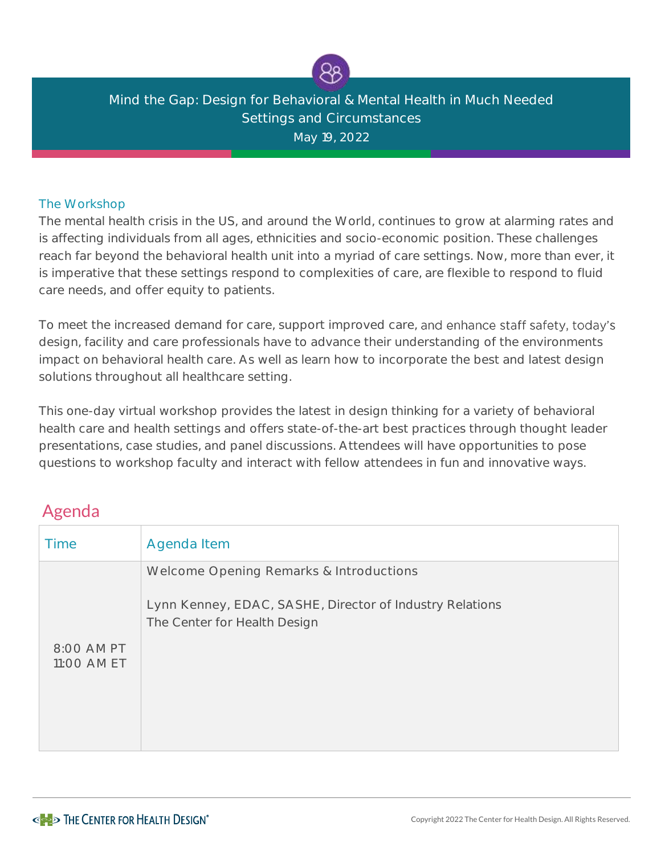

## Mind the Gap: Design for Behavioral & Mental Health in Much Needed Settings and Circumstances May 19, 2022

## The Workshop

The mental health crisis in the US, and around the World, continues to grow at alarming rates and is affecting individuals from all ages, ethnicities and socio-economic position. These challenges reach far beyond the behavioral health unit into a myriad of care settings. Now, more than ever, it is imperative that these settings respond to complexities of care, are flexible to respond to fluid care needs, and offer equity to patients.

To meet the increased demand for care, support improved care, and enhance staff safety, today's design, facility and care professionals have to advance their understanding of the environments impact on behavioral health care. As well as learn how to incorporate the best and latest design solutions throughout all healthcare setting.

This one-day virtual workshop provides the latest in design thinking for a variety of behavioral health care and health settings and offers state-of-the-art best practices through thought leader presentations, case studies, and panel discussions. Attendees will have opportunities to pose questions to workshop faculty and interact with fellow attendees in fun and innovative ways.

## Agenda

| Agenda Item                                              |
|----------------------------------------------------------|
| Welcome Opening Remarks & Introductions                  |
| The Center for Health Design                             |
| 8:00 AM PT<br>11:00 AM ET                                |
|                                                          |
| Lynn Kenney, EDAC, SASHE, Director of Industry Relations |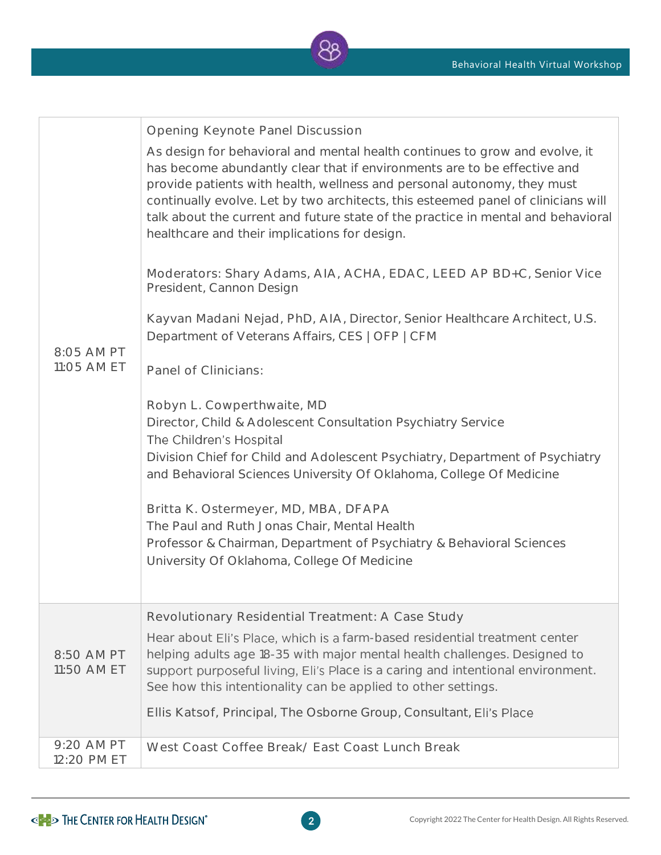

| 8:05 AM PT<br>11:05 AM ET | Opening Keynote Panel Discussion<br>As design for behavioral and mental health continues to grow and evolve, it<br>has become abundantly clear that if environments are to be effective and<br>provide patients with health, wellness and personal autonomy, they must<br>continually evolve. Let by two architects, this esteemed panel of clinicians will<br>talk about the current and future state of the practice in mental and behavioral<br>healthcare and their implications for design.<br>Moderators: Shary Adams, AIA, ACHA, EDAC, LEED AP BD+C, Senior Vice<br>President, Cannon Design<br>Kayvan Madani Nejad, PhD, AIA, Director, Senior Healthcare Architect, U.S.<br>Department of Veterans Affairs, CES   OFP   CFM<br>Panel of Clinicians:<br>Robyn L. Cowperthwaite, MD<br>Director, Child & Adolescent Consultation Psychiatry Service<br>The Children's Hospital<br>Division Chief for Child and Adolescent Psychiatry, Department of Psychiatry<br>and Behavioral Sciences University Of Oklahoma, College Of Medicine<br>Britta K. Ostermeyer, MD, MBA, DFAPA<br>The Paul and Ruth Jonas Chair, Mental Health<br>Professor & Chairman, Department of Psychiatry & Behavioral Sciences<br>University Of Oklahoma, College Of Medicine |
|---------------------------|-------------------------------------------------------------------------------------------------------------------------------------------------------------------------------------------------------------------------------------------------------------------------------------------------------------------------------------------------------------------------------------------------------------------------------------------------------------------------------------------------------------------------------------------------------------------------------------------------------------------------------------------------------------------------------------------------------------------------------------------------------------------------------------------------------------------------------------------------------------------------------------------------------------------------------------------------------------------------------------------------------------------------------------------------------------------------------------------------------------------------------------------------------------------------------------------------------------------------------------------------------------|
| 8:50 AM PT<br>11:50 AM ET | Revolutionary Residential Treatment: A Case Study<br>Hear about Eli's Place, which is a farm-based residential treatment center<br>helping adults age 18-35 with major mental health challenges. Designed to<br>support purposeful living, Eli's Place is a caring and intentional environment.<br>See how this intentionality can be applied to other settings.<br>Ellis Katsof, Principal, The Osborne Group, Consultant, Eli's Place                                                                                                                                                                                                                                                                                                                                                                                                                                                                                                                                                                                                                                                                                                                                                                                                                     |
| 9:20 AM PT<br>12:20 PM ET | West Coast Coffee Break/ East Coast Lunch Break                                                                                                                                                                                                                                                                                                                                                                                                                                                                                                                                                                                                                                                                                                                                                                                                                                                                                                                                                                                                                                                                                                                                                                                                             |

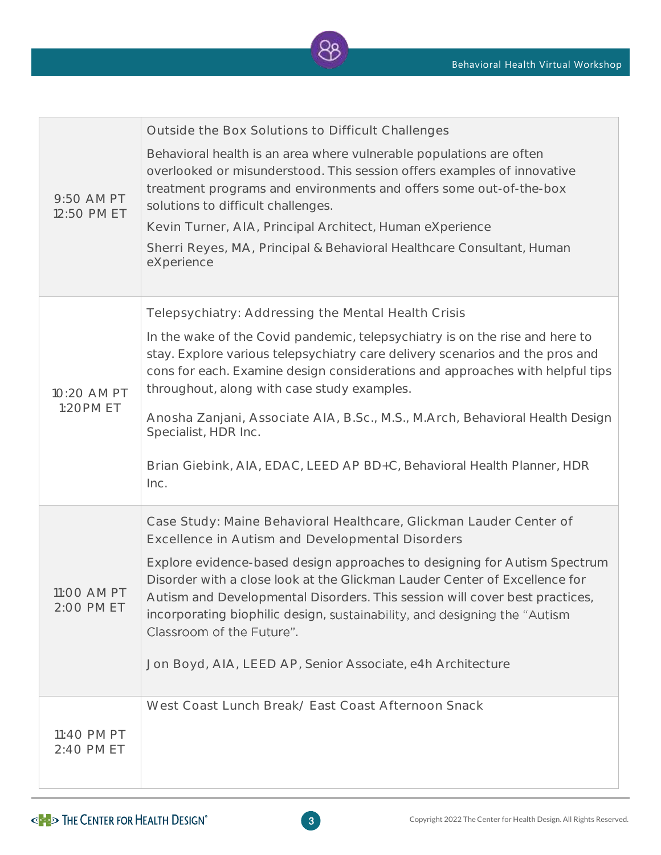

| 9:50 AM PT<br>12:50 PM ET | Outside the Box Solutions to Difficult Challenges<br>Behavioral health is an area where vulnerable populations are often<br>overlooked or misunderstood. This session offers examples of innovative<br>treatment programs and environments and offers some out-of-the-box<br>solutions to difficult challenges.<br>Kevin Turner, AIA, Principal Architect, Human eXperience<br>Sherri Reyes, MA, Principal & Behavioral Healthcare Consultant, Human<br>eXperience                                                                             |
|---------------------------|------------------------------------------------------------------------------------------------------------------------------------------------------------------------------------------------------------------------------------------------------------------------------------------------------------------------------------------------------------------------------------------------------------------------------------------------------------------------------------------------------------------------------------------------|
| 10:20 AM PT<br>1:20PM ET  | Telepsychiatry: Addressing the Mental Health Crisis<br>In the wake of the Covid pandemic, telepsychiatry is on the rise and here to<br>stay. Explore various telepsychiatry care delivery scenarios and the pros and<br>cons for each. Examine design considerations and approaches with helpful tips<br>throughout, along with case study examples.<br>Anosha Zanjani, Associate AIA, B.Sc., M.S., M.Arch, Behavioral Health Design<br>Specialist, HDR Inc.<br>Brian Giebink, AIA, EDAC, LEED AP BD+C, Behavioral Health Planner, HDR<br>Inc. |
| 11:00 AM PT<br>2:00 PM ET | Case Study: Maine Behavioral Healthcare, Glickman Lauder Center of<br>Excellence in Autism and Developmental Disorders<br>Explore evidence-based design approaches to designing for Autism Spectrum<br>Disorder with a close look at the Glickman Lauder Center of Excellence for<br>Autism and Developmental Disorders. This session will cover best practices,<br>incorporating biophilic design, sustainability, and designing the "Autism<br>Classroom of the Future".<br>Jon Boyd, AIA, LEED AP, Senior Associate, e4h Architecture       |
| 11:40 PM PT<br>2:40 PM ET | West Coast Lunch Break/ East Coast Afternoon Snack                                                                                                                                                                                                                                                                                                                                                                                                                                                                                             |

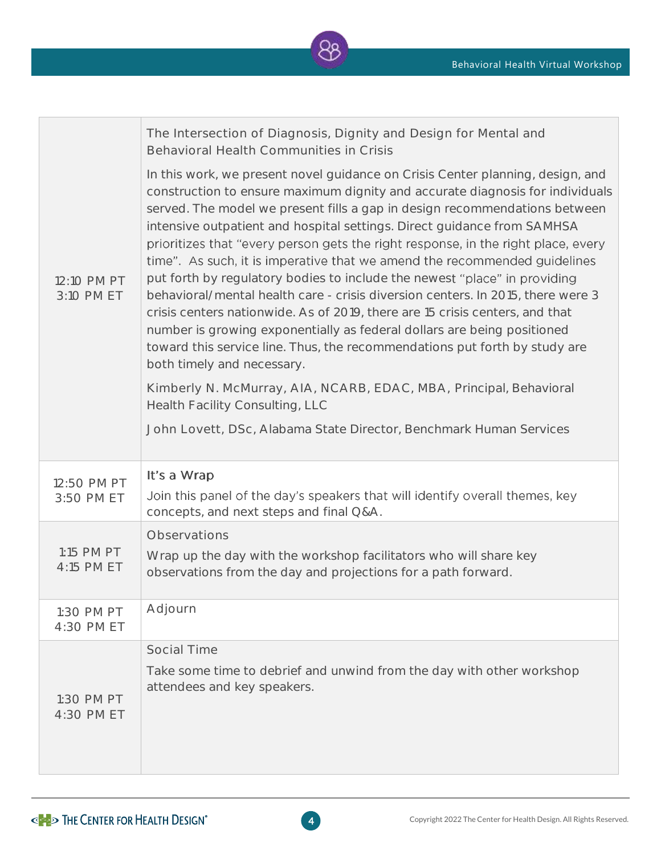

| 12:10 PM PT<br>3:10 PM ET | The Intersection of Diagnosis, Dignity and Design for Mental and<br>Behavioral Health Communities in Crisis                                                                                                                                                                                                                                                                                                                                                                                                                                                                                                                                                                                                                                                                                                                                                                                                                       |
|---------------------------|-----------------------------------------------------------------------------------------------------------------------------------------------------------------------------------------------------------------------------------------------------------------------------------------------------------------------------------------------------------------------------------------------------------------------------------------------------------------------------------------------------------------------------------------------------------------------------------------------------------------------------------------------------------------------------------------------------------------------------------------------------------------------------------------------------------------------------------------------------------------------------------------------------------------------------------|
|                           | In this work, we present novel guidance on Crisis Center planning, design, and<br>construction to ensure maximum dignity and accurate diagnosis for individuals<br>served. The model we present fills a gap in design recommendations between<br>intensive outpatient and hospital settings. Direct guidance from SAMHSA<br>prioritizes that "every person gets the right response, in the right place, every<br>time". As such, it is imperative that we amend the recommended guidelines<br>put forth by regulatory bodies to include the newest "place" in providing<br>behavioral/mental health care - crisis diversion centers. In 2015, there were 3<br>crisis centers nationwide. As of 2019, there are 15 crisis centers, and that<br>number is growing exponentially as federal dollars are being positioned<br>toward this service line. Thus, the recommendations put forth by study are<br>both timely and necessary. |
|                           | Kimberly N. McMurray, AIA, NCARB, EDAC, MBA, Principal, Behavioral<br>Health Facility Consulting, LLC                                                                                                                                                                                                                                                                                                                                                                                                                                                                                                                                                                                                                                                                                                                                                                                                                             |
|                           | John Lovett, DSc, Alabama State Director, Benchmark Human Services                                                                                                                                                                                                                                                                                                                                                                                                                                                                                                                                                                                                                                                                                                                                                                                                                                                                |
| 12:50 PM PT<br>3:50 PM ET | It's a Wrap                                                                                                                                                                                                                                                                                                                                                                                                                                                                                                                                                                                                                                                                                                                                                                                                                                                                                                                       |
|                           | Join this panel of the day's speakers that will identify overall themes, key<br>concepts, and next steps and final Q&A.                                                                                                                                                                                                                                                                                                                                                                                                                                                                                                                                                                                                                                                                                                                                                                                                           |
| 1:15 PM PT<br>4:15 PM ET  | Observations                                                                                                                                                                                                                                                                                                                                                                                                                                                                                                                                                                                                                                                                                                                                                                                                                                                                                                                      |
|                           | Wrap up the day with the workshop facilitators who will share key<br>observations from the day and projections for a path forward.                                                                                                                                                                                                                                                                                                                                                                                                                                                                                                                                                                                                                                                                                                                                                                                                |
| 1:30 PM PT<br>4:30 PM ET  | Adjourn                                                                                                                                                                                                                                                                                                                                                                                                                                                                                                                                                                                                                                                                                                                                                                                                                                                                                                                           |
|                           | Social Time                                                                                                                                                                                                                                                                                                                                                                                                                                                                                                                                                                                                                                                                                                                                                                                                                                                                                                                       |
| 1:30 PM PT<br>4:30 PM ET  | Take some time to debrief and unwind from the day with other workshop<br>attendees and key speakers.                                                                                                                                                                                                                                                                                                                                                                                                                                                                                                                                                                                                                                                                                                                                                                                                                              |